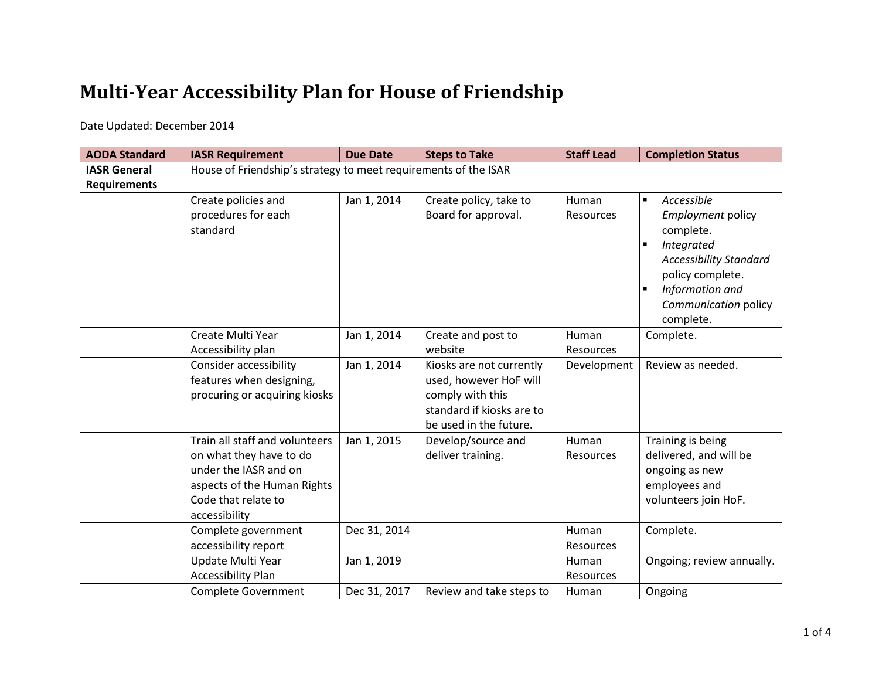## **Multi-Year Accessibility Plan for House of Friendship**

Date Updated: December 2014

| <b>AODA Standard</b> | <b>IASR Requirement</b>                                                                                                                                   | <b>Due Date</b> | <b>Steps to Take</b>                                                                                                          | <b>Staff Lead</b>  | <b>Completion Status</b>                                                                                                                                                                                                      |  |
|----------------------|-----------------------------------------------------------------------------------------------------------------------------------------------------------|-----------------|-------------------------------------------------------------------------------------------------------------------------------|--------------------|-------------------------------------------------------------------------------------------------------------------------------------------------------------------------------------------------------------------------------|--|
| <b>IASR General</b>  | House of Friendship's strategy to meet requirements of the ISAR                                                                                           |                 |                                                                                                                               |                    |                                                                                                                                                                                                                               |  |
| <b>Requirements</b>  |                                                                                                                                                           |                 |                                                                                                                               |                    |                                                                                                                                                                                                                               |  |
|                      | Create policies and<br>procedures for each<br>standard                                                                                                    | Jan 1, 2014     | Create policy, take to<br>Board for approval.                                                                                 | Human<br>Resources | Accessible<br>$\blacksquare$<br>Employment policy<br>complete.<br>Integrated<br>$\blacksquare$<br><b>Accessibility Standard</b><br>policy complete.<br>Information and<br>$\blacksquare$<br>Communication policy<br>complete. |  |
|                      | Create Multi Year<br>Accessibility plan                                                                                                                   | Jan 1, 2014     | Create and post to<br>website                                                                                                 | Human<br>Resources | Complete.                                                                                                                                                                                                                     |  |
|                      | <b>Consider accessibility</b><br>features when designing,<br>procuring or acquiring kiosks                                                                | Jan 1, 2014     | Kiosks are not currently<br>used, however HoF will<br>comply with this<br>standard if kiosks are to<br>be used in the future. | Development        | Review as needed.                                                                                                                                                                                                             |  |
|                      | Train all staff and volunteers<br>on what they have to do<br>under the IASR and on<br>aspects of the Human Rights<br>Code that relate to<br>accessibility | Jan 1, 2015     | Develop/source and<br>deliver training.                                                                                       | Human<br>Resources | Training is being<br>delivered, and will be<br>ongoing as new<br>employees and<br>volunteers join HoF.                                                                                                                        |  |
|                      | Complete government<br>accessibility report                                                                                                               | Dec 31, 2014    |                                                                                                                               | Human<br>Resources | Complete.                                                                                                                                                                                                                     |  |
|                      | Update Multi Year<br><b>Accessibility Plan</b>                                                                                                            | Jan 1, 2019     |                                                                                                                               | Human<br>Resources | Ongoing; review annually.                                                                                                                                                                                                     |  |
|                      | <b>Complete Government</b>                                                                                                                                | Dec 31, 2017    | Review and take steps to                                                                                                      | Human              | Ongoing                                                                                                                                                                                                                       |  |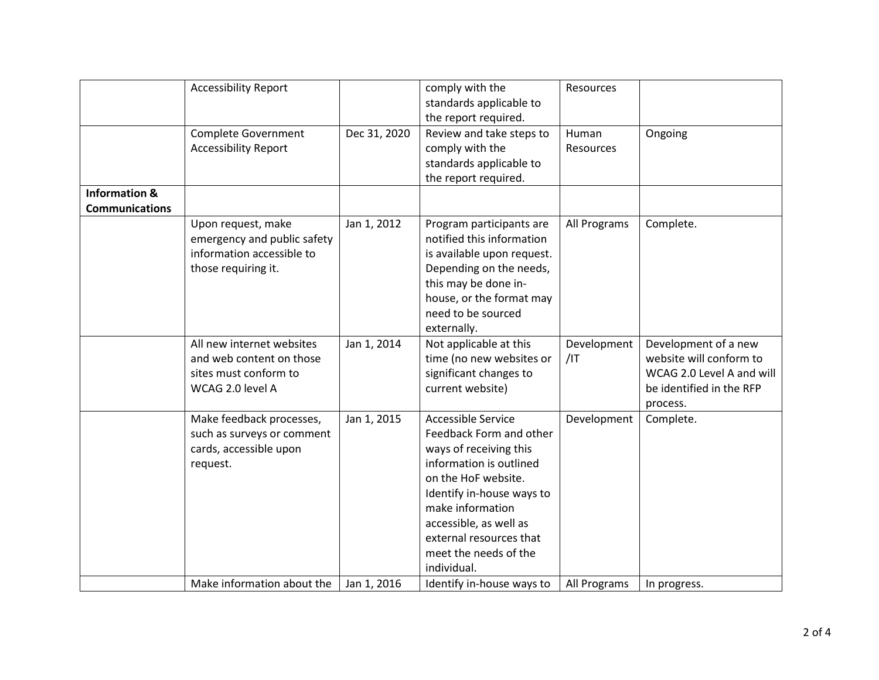|                                                   | <b>Accessibility Report</b>                                                                           |              | comply with the<br>standards applicable to<br>the report required.                                                                                                                                                                                                             | Resources          |                                                                                                                      |
|---------------------------------------------------|-------------------------------------------------------------------------------------------------------|--------------|--------------------------------------------------------------------------------------------------------------------------------------------------------------------------------------------------------------------------------------------------------------------------------|--------------------|----------------------------------------------------------------------------------------------------------------------|
|                                                   | <b>Complete Government</b><br><b>Accessibility Report</b>                                             | Dec 31, 2020 | Review and take steps to<br>comply with the<br>standards applicable to<br>the report required.                                                                                                                                                                                 | Human<br>Resources | Ongoing                                                                                                              |
| <b>Information &amp;</b><br><b>Communications</b> |                                                                                                       |              |                                                                                                                                                                                                                                                                                |                    |                                                                                                                      |
|                                                   | Upon request, make<br>emergency and public safety<br>information accessible to<br>those requiring it. | Jan 1, 2012  | Program participants are<br>notified this information<br>is available upon request.<br>Depending on the needs,<br>this may be done in-<br>house, or the format may<br>need to be sourced<br>externally.                                                                        | All Programs       | Complete.                                                                                                            |
|                                                   | All new internet websites<br>and web content on those<br>sites must conform to<br>WCAG 2.0 level A    | Jan 1, 2014  | Not applicable at this<br>time (no new websites or<br>significant changes to<br>current website)                                                                                                                                                                               | Development<br>/IT | Development of a new<br>website will conform to<br>WCAG 2.0 Level A and will<br>be identified in the RFP<br>process. |
|                                                   | Make feedback processes,<br>such as surveys or comment<br>cards, accessible upon<br>request.          | Jan 1, 2015  | <b>Accessible Service</b><br>Feedback Form and other<br>ways of receiving this<br>information is outlined<br>on the HoF website.<br>Identify in-house ways to<br>make information<br>accessible, as well as<br>external resources that<br>meet the needs of the<br>individual. | Development        | Complete.                                                                                                            |
|                                                   | Make information about the                                                                            | Jan 1, 2016  | Identify in-house ways to                                                                                                                                                                                                                                                      | All Programs       | In progress.                                                                                                         |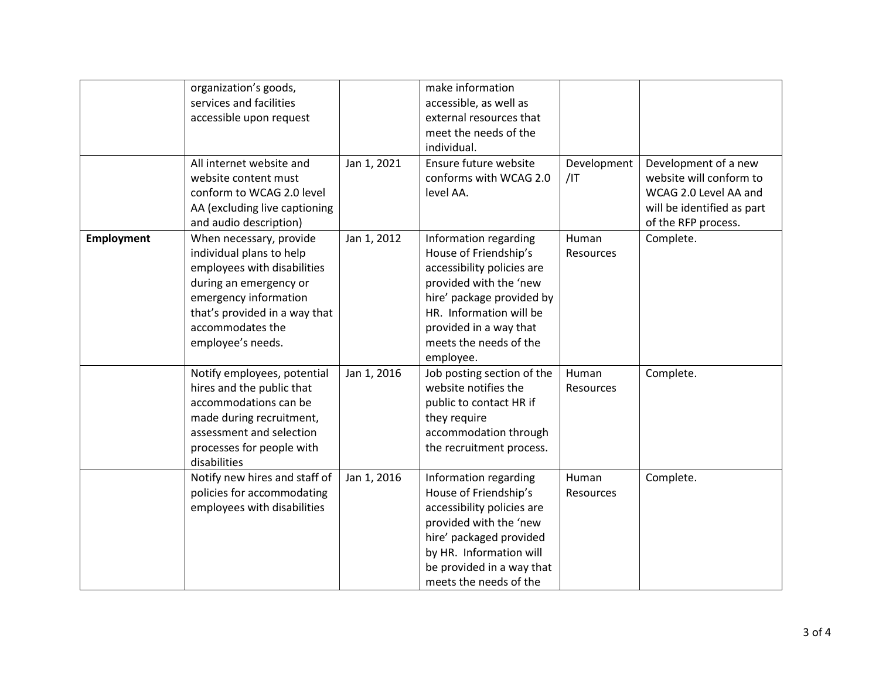|                   | organization's goods,         |             | make information           |             |                            |
|-------------------|-------------------------------|-------------|----------------------------|-------------|----------------------------|
|                   | services and facilities       |             | accessible, as well as     |             |                            |
|                   | accessible upon request       |             | external resources that    |             |                            |
|                   |                               |             | meet the needs of the      |             |                            |
|                   |                               |             | individual.                |             |                            |
|                   | All internet website and      | Jan 1, 2021 | Ensure future website      | Development | Development of a new       |
|                   | website content must          |             | conforms with WCAG 2.0     | $/$ IT      | website will conform to    |
|                   | conform to WCAG 2.0 level     |             | level AA.                  |             | WCAG 2.0 Level AA and      |
|                   | AA (excluding live captioning |             |                            |             | will be identified as part |
|                   | and audio description)        |             |                            |             | of the RFP process.        |
| <b>Employment</b> | When necessary, provide       | Jan 1, 2012 | Information regarding      | Human       | Complete.                  |
|                   | individual plans to help      |             | House of Friendship's      | Resources   |                            |
|                   | employees with disabilities   |             | accessibility policies are |             |                            |
|                   | during an emergency or        |             | provided with the 'new     |             |                            |
|                   | emergency information         |             | hire' package provided by  |             |                            |
|                   | that's provided in a way that |             | HR. Information will be    |             |                            |
|                   | accommodates the              |             | provided in a way that     |             |                            |
|                   | employee's needs.             |             | meets the needs of the     |             |                            |
|                   |                               |             | employee.                  |             |                            |
|                   | Notify employees, potential   | Jan 1, 2016 | Job posting section of the | Human       | Complete.                  |
|                   | hires and the public that     |             | website notifies the       | Resources   |                            |
|                   | accommodations can be         |             | public to contact HR if    |             |                            |
|                   | made during recruitment,      |             | they require               |             |                            |
|                   | assessment and selection      |             | accommodation through      |             |                            |
|                   | processes for people with     |             | the recruitment process.   |             |                            |
|                   | disabilities                  |             |                            |             |                            |
|                   | Notify new hires and staff of | Jan 1, 2016 | Information regarding      | Human       | Complete.                  |
|                   | policies for accommodating    |             | House of Friendship's      | Resources   |                            |
|                   | employees with disabilities   |             | accessibility policies are |             |                            |
|                   |                               |             | provided with the 'new     |             |                            |
|                   |                               |             | hire' packaged provided    |             |                            |
|                   |                               |             | by HR. Information will    |             |                            |
|                   |                               |             | be provided in a way that  |             |                            |
|                   |                               |             | meets the needs of the     |             |                            |